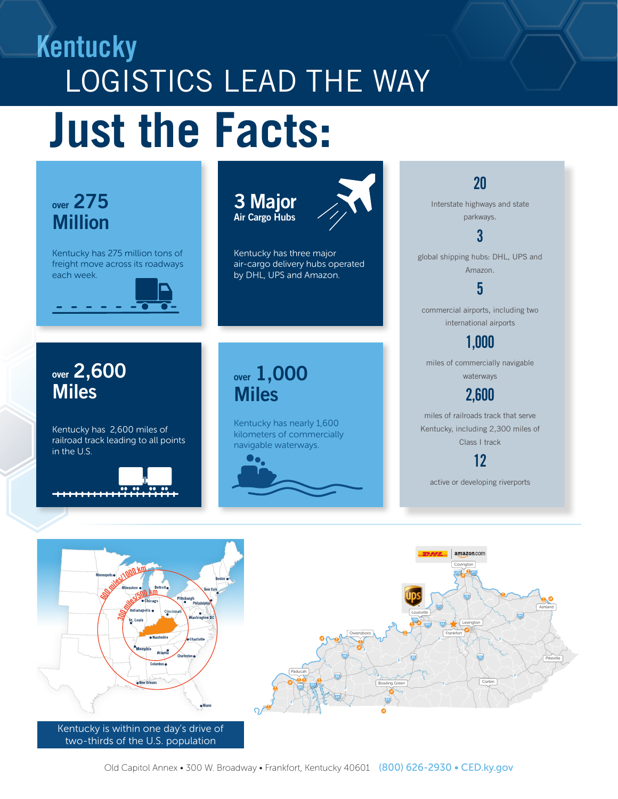# Kentucky LOGISTICS LEAD THE WAY **Just the Facts:**



07252019

Kentucky is within one day's drive of two-thirds of the U.S. population

New Orleans

Miami

Corbin

Bowling Green